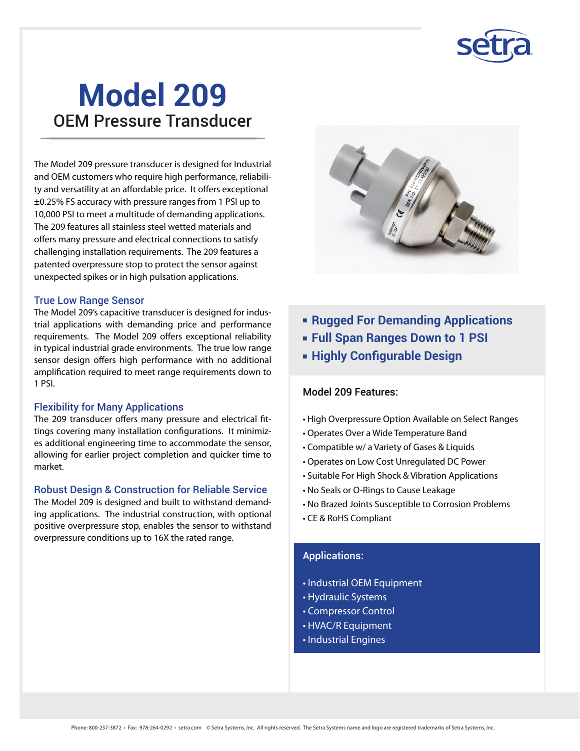

The Model 209 pressure transducer is designed for Industrial and OEM customers who require high performance, reliability and versatility at an affordable price. It offers exceptional ±0.25% FS accuracy with pressure ranges from 1 PSI up to 10,000 PSI to meet a multitude of demanding applications. The 209 features all stainless steel wetted materials and offers many pressure and electrical connections to satisfy challenging installation requirements. The 209 features a patented overpressure stop to protect the sensor against unexpected spikes or in high pulsation applications.

#### True Low Range Sensor

The Model 209's capacitive transducer is designed for industrial applications with demanding price and performance requirements. The Model 209 offers exceptional reliability in typical industrial grade environments. The true low range sensor design offers high performance with no additional amplification required to meet range requirements down to 1 PSI.

#### Flexibility for Many Applications

The 209 transducer offers many pressure and electrical fittings covering many installation configurations. It minimizes additional engineering time to accommodate the sensor, allowing for earlier project completion and quicker time to market.

#### Robust Design & Construction for Reliable Service

The Model 209 is designed and built to withstand demanding applications. The industrial construction, with optional positive overpressure stop, enables the sensor to withstand overpressure conditions up to 16X the rated range.



- **Rugged For Demanding Applications**
- **Full Span Ranges Down to 1 PSI**
- **Example 2 Highly Configurable Design**

#### Model 209 Features:

- High Overpressure Option Available on Select Ranges
- Operates Over a Wide Temperature Band
- Compatible w/ a Variety of Gases & Liquids
- Operates on Low Cost Unregulated DC Power
- Suitable For High Shock & Vibration Applications
- No Seals or O-Rings to Cause Leakage
- No Brazed Joints Susceptible to Corrosion Problems
- CE & RoHS Compliant

#### Applications:

- Industrial OEM Equipment
- Hydraulic Systems
- Compressor Control
- HVAC/R Equipment
- Industrial Engines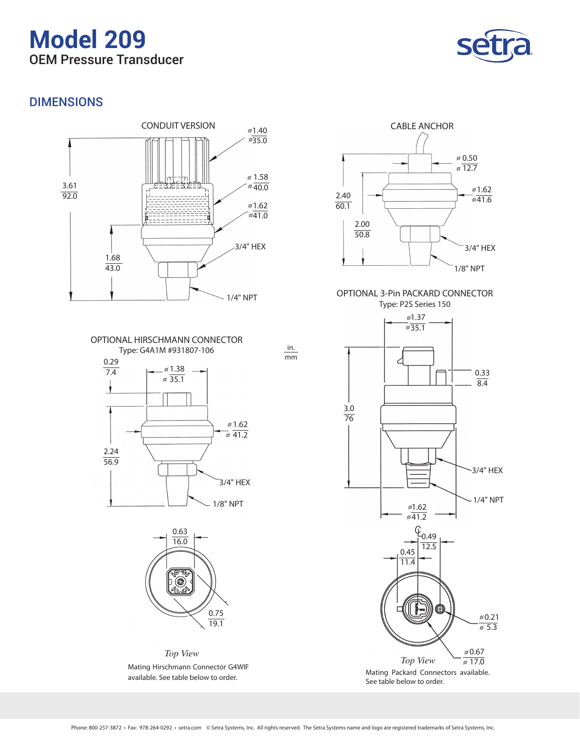

## DIMENSIONS









*Top View* Mating Hirschmann Connector G4WIF available. See table below to order.



Mating Packard Connectors available. See table below to order.

in. mm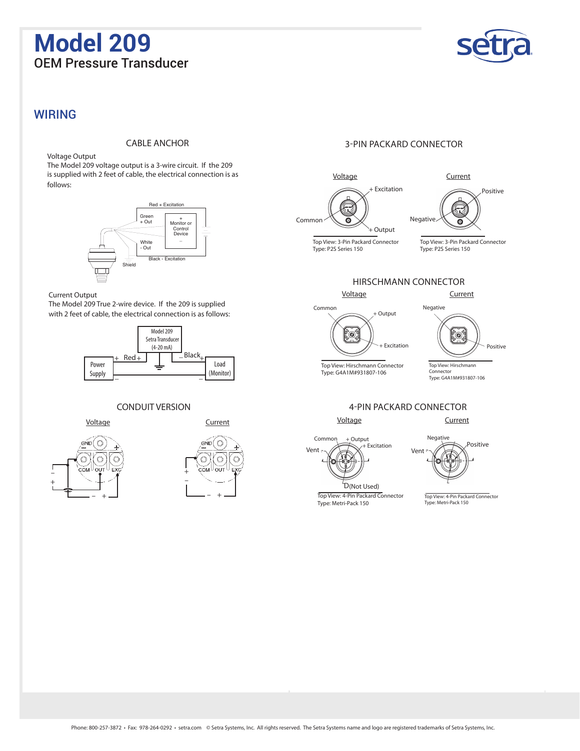

#### WIRING

#### CABLE ANCHOR

Voltage Output

The Model 209 voltage output is a 3-wire circuit. If the 209 is supplied with 2 feet of cable, the electrical connection is as follows:



#### Current Output

The Model 209 True 2-wire device. If the 209 is supplied with 2 feet of cable, the electrical connection is as follows:



#### CONDUIT VERSION

Voltage Current





#### 3-PIN PACKARD CONNECTOR







Top View: 4-Pin Packard Connector Type: Metri-Pack 150